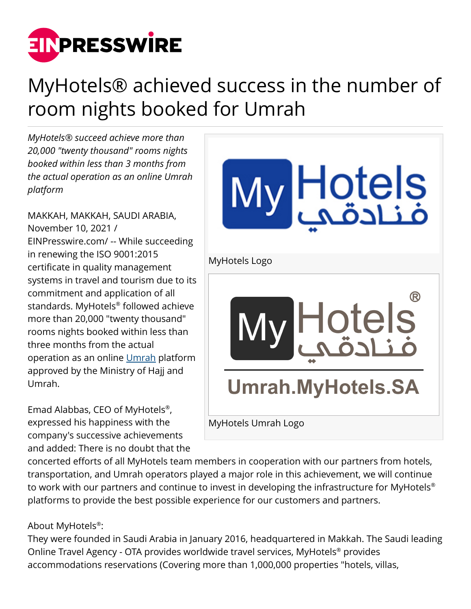

## MyHotels® achieved success in the number of room nights booked for Umrah

*MyHotels® succeed achieve more than 20,000 "twenty thousand" rooms nights booked within less than 3 months from the actual operation as an online Umrah platform*

MAKKAH, MAKKAH, SAUDI ARABIA, November 10, 2021 / [EINPresswire.com](http://www.einpresswire.com)/ -- While succeeding in renewing the ISO 9001:2015 certificate in quality management systems in travel and tourism due to its commitment and application of all standards. MyHotels® followed achieve more than 20,000 "twenty thousand" rooms nights booked within less than three months from the actual operation as an online [Umrah](https://umrah.myhotels.sa/) platform approved by the Ministry of Hajj and Umrah.

Emad Alabbas, CEO of MyHotels® , expressed his happiness with the company's successive achievements and added: There is no doubt that the

Hotels<br>فنادقپ MyHotels Logo Hotels **Umrah.MyHotels.SA** MyHotels Umrah Logo

concerted efforts of all MyHotels team members in cooperation with our partners from hotels, transportation, and Umrah operators played a major role in this achievement, we will continue to work with our partners and continue to invest in developing the infrastructure for MyHotels® platforms to provide the best possible experience for our customers and partners.

About MyHotels® :

They were founded in Saudi Arabia in January 2016, headquartered in Makkah. The Saudi leading Online Travel Agency - OTA provides worldwide travel services, MyHotels® provides accommodations reservations (Covering more than 1,000,000 properties "hotels, villas,